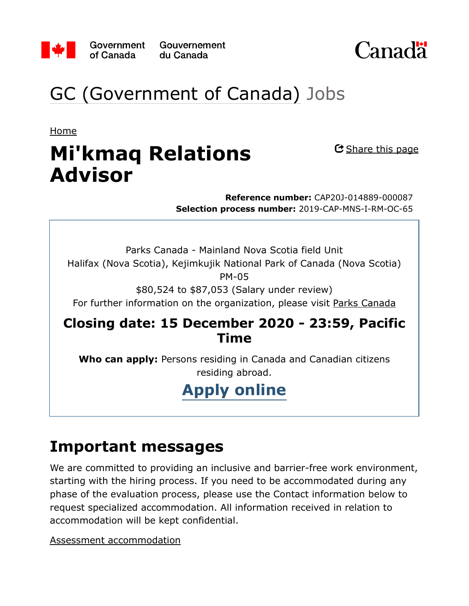

Gouvernement du Canada



## GC (Government of Canada) Jobs

Home

# **Mi'kmaq Relations Advisor**

<u>C Share this page</u>

**Reference number:** CAP20J-014889-000087 **Selection process number:** 2019-CAP-MNS-I-RM-OC-65

Parks Canada - Mainland Nova Scotia field Unit Halifax (Nova Scotia), Kejimkujik National Park of Canada (Nova Scotia) PM-05

\$80,524 to \$87,053 (Salary under review)

For further information on the organization, please visit Parks Canada

#### **Closing date: 15 December 2020 - 23:59, Pacific Time**

**Who can apply:** Persons residing in Canada and Canadian citizens residing abroad.

## **Apply online**

### **Important messages**

We are committed to providing an inclusive and barrier-free work environment, starting with the hiring process. If you need to be accommodated during any phase of the evaluation process, please use the Contact information below to request specialized accommodation. All information received in relation to accommodation will be kept confidential.

Assessment accommodation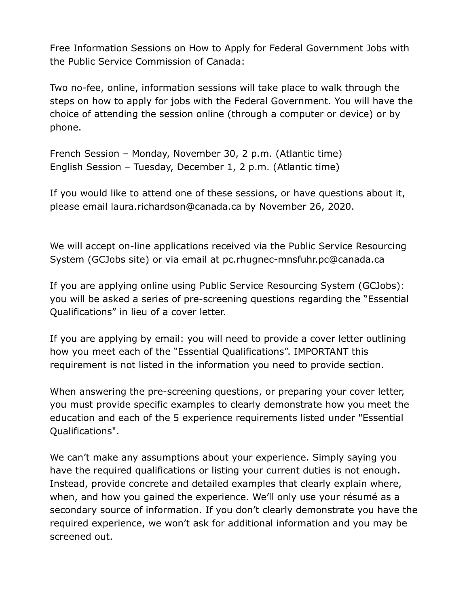Free Information Sessions on How to Apply for Federal Government Jobs with the Public Service Commission of Canada:

Two no-fee, online, information sessions will take place to walk through the steps on how to apply for jobs with the Federal Government. You will have the choice of attending the session online (through a computer or device) or by phone.

French Session – Monday, November 30, 2 p.m. (Atlantic time) English Session – Tuesday, December 1, 2 p.m. (Atlantic time)

If you would like to attend one of these sessions, or have questions about it, please email laura.richardson@canada.ca by November 26, 2020.

We will accept on-line applications received via the Public Service Resourcing System (GCJobs site) or via email at pc.rhugnec-mnsfuhr.pc@canada.ca

If you are applying online using Public Service Resourcing System (GCJobs): you will be asked a series of pre-screening questions regarding the "Essential Qualifications" in lieu of a cover letter.

If you are applying by email: you will need to provide a cover letter outlining how you meet each of the "Essential Qualifications". IMPORTANT this requirement is not listed in the information you need to provide section.

When answering the pre-screening questions, or preparing your cover letter, you must provide specific examples to clearly demonstrate how you meet the education and each of the 5 experience requirements listed under "Essential Qualifications".

We can't make any assumptions about your experience. Simply saying you have the required qualifications or listing your current duties is not enough. Instead, provide concrete and detailed examples that clearly explain where, when, and how you gained the experience. We'll only use your résumé as a secondary source of information. If you don't clearly demonstrate you have the required experience, we won't ask for additional information and you may be screened out.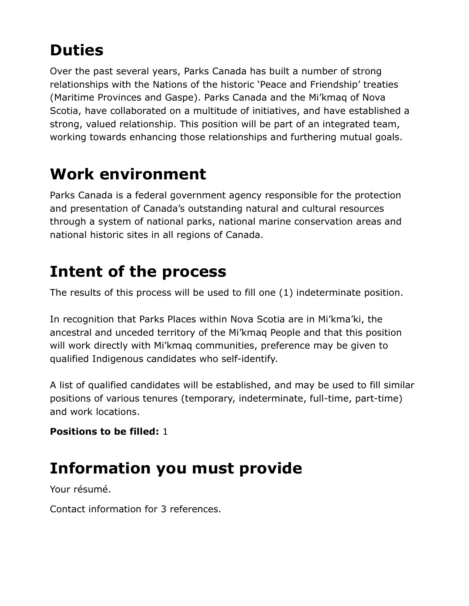## **Duties**

Over the past several years, Parks Canada has built a number of strong relationships with the Nations of the historic 'Peace and Friendship' treaties (Maritime Provinces and Gaspe). Parks Canada and the Mi'kmaq of Nova Scotia, have collaborated on a multitude of initiatives, and have established a strong, valued relationship. This position will be part of an integrated team, working towards enhancing those relationships and furthering mutual goals.

## **Work environment**

Parks Canada is a federal government agency responsible for the protection and presentation of Canada's outstanding natural and cultural resources through a system of national parks, national marine conservation areas and national historic sites in all regions of Canada.

### **Intent of the process**

The results of this process will be used to fill one (1) indeterminate position.

In recognition that Parks Places within Nova Scotia are in Mi'kma'ki, the ancestral and unceded territory of the Mi'kmaq People and that this position will work directly with Mi'kmaq communities, preference may be given to qualified Indigenous candidates who self-identify.

A list of qualified candidates will be established, and may be used to fill similar positions of various tenures (temporary, indeterminate, full-time, part-time) and work locations.

**Positions to be filled:** 1

## **Information you must provide**

Your résumé.

Contact information for 3 references.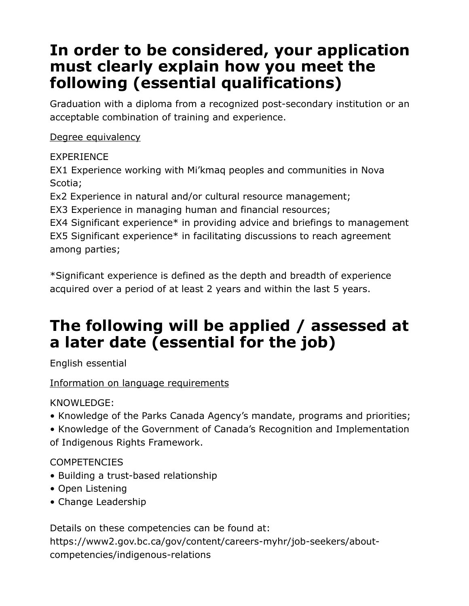### **In order to be considered, your application must clearly explain how you meet the following (essential qualifications)**

Graduation with a diploma from a recognized post-secondary institution or an acceptable combination of training and experience.

#### Degree equivalency

#### EXPERIENCE

EX1 Experience working with Mi'kmaq peoples and communities in Nova Scotia;

Ex2 Experience in natural and/or cultural resource management;

EX3 Experience in managing human and financial resources;

EX4 Significant experience\* in providing advice and briefings to management EX5 Significant experience\* in facilitating discussions to reach agreement among parties;

\*Significant experience is defined as the depth and breadth of experience acquired over a period of at least 2 years and within the last 5 years.

### **The following will be applied / assessed at a later date (essential for the job)**

English essential

#### Information on language requirements

KNOWLEDGE:

• Knowledge of the Parks Canada Agency's mandate, programs and priorities;

• Knowledge of the Government of Canada's Recognition and Implementation of Indigenous Rights Framework.

#### **COMPETENCIES**

- Building a trust-based relationship
- Open Listening
- Change Leadership

Details on these competencies can be found at: https://www2.gov.bc.ca/gov/content/careers-myhr/job-seekers/aboutcompetencies/indigenous-relations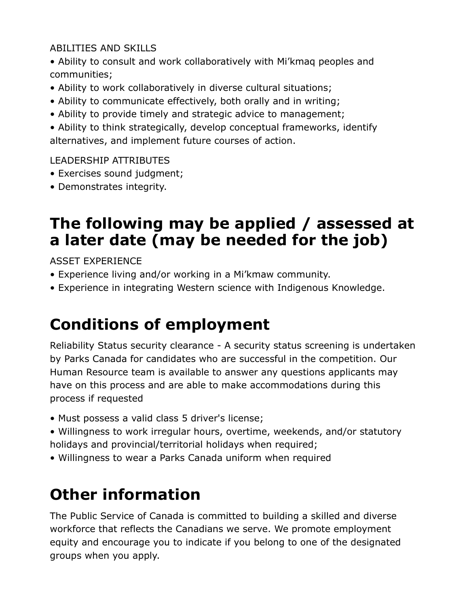#### ABILITIES AND SKILLS

• Ability to consult and work collaboratively with Mi'kmaq peoples and communities;

- Ability to work collaboratively in diverse cultural situations;
- Ability to communicate effectively, both orally and in writing;
- Ability to provide timely and strategic advice to management;

• Ability to think strategically, develop conceptual frameworks, identify alternatives, and implement future courses of action.

#### LEADERSHIP ATTRIBUTES

- Exercises sound judgment;
- Demonstrates integrity.

### **The following may be applied / assessed at a later date (may be needed for the job)**

ASSET EXPERIENCE

- Experience living and/or working in a Mi'kmaw community.
- Experience in integrating Western science with Indigenous Knowledge.

### **Conditions of employment**

Reliability Status security clearance - A security status screening is undertaken by Parks Canada for candidates who are successful in the competition. Our Human Resource team is available to answer any questions applicants may have on this process and are able to make accommodations during this process if requested

- Must possess a valid class 5 driver's license;
- Willingness to work irregular hours, overtime, weekends, and/or statutory holidays and provincial/territorial holidays when required;
- Willingness to wear a Parks Canada uniform when required

### **Other information**

The Public Service of Canada is committed to building a skilled and diverse workforce that reflects the Canadians we serve. We promote employment equity and encourage you to indicate if you belong to one of the designated groups when you apply.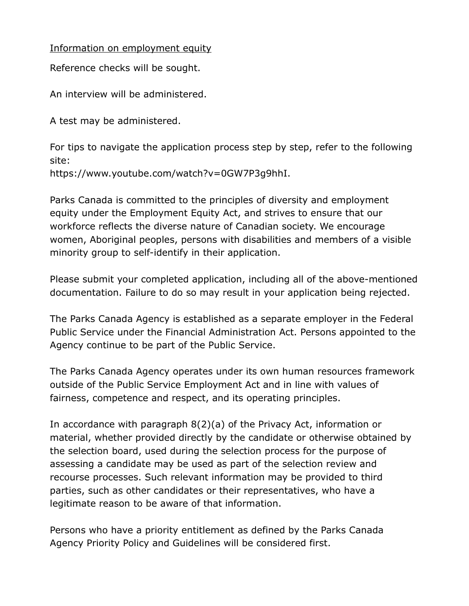#### Information on employment equity

Reference checks will be sought.

An interview will be administered.

A test may be administered.

For tips to navigate the application process step by step, refer to the following site:

https://www.youtube.com/watch?v=0GW7P3g9hhI.

Parks Canada is committed to the principles of diversity and employment equity under the Employment Equity Act, and strives to ensure that our workforce reflects the diverse nature of Canadian society. We encourage women, Aboriginal peoples, persons with disabilities and members of a visible minority group to self-identify in their application.

Please submit your completed application, including all of the above-mentioned documentation. Failure to do so may result in your application being rejected.

The Parks Canada Agency is established as a separate employer in the Federal Public Service under the Financial Administration Act. Persons appointed to the Agency continue to be part of the Public Service.

The Parks Canada Agency operates under its own human resources framework outside of the Public Service Employment Act and in line with values of fairness, competence and respect, and its operating principles.

In accordance with paragraph 8(2)(a) of the Privacy Act, information or material, whether provided directly by the candidate or otherwise obtained by the selection board, used during the selection process for the purpose of assessing a candidate may be used as part of the selection review and recourse processes. Such relevant information may be provided to third parties, such as other candidates or their representatives, who have a legitimate reason to be aware of that information.

Persons who have a priority entitlement as defined by the Parks Canada Agency Priority Policy and Guidelines will be considered first.